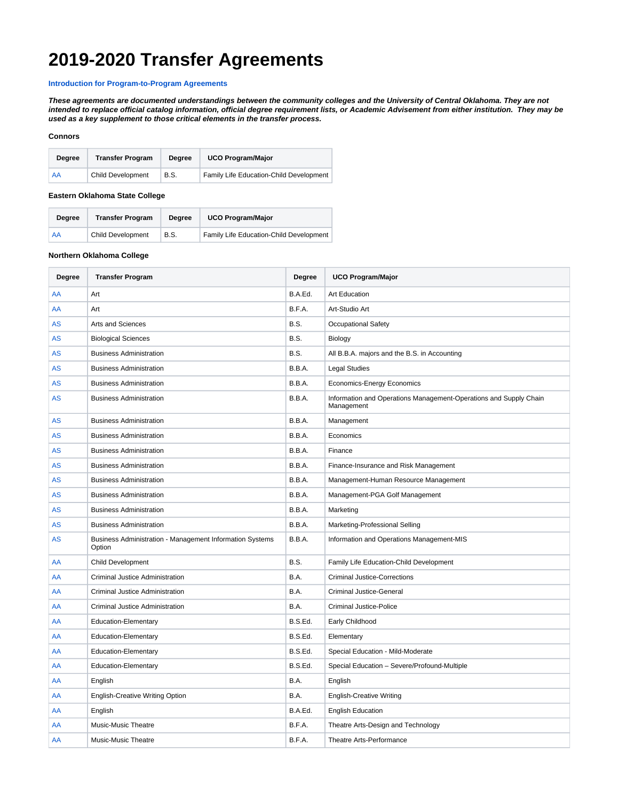# **2019-2020 Transfer Agreements**

### **[Introduction for Program-to-Program Agreements](https://spaces.uco.edu/download/attachments/1966195/program-transfer-agreement-intro.pdf?version=1&modificationDate=1575302644657&api=v2)**

**These agreements are documented understandings between the community colleges and the University of Central Oklahoma. They are not intended to replace official catalog information, official degree requirement lists, or Academic Advisement from either institution. They may be used as a key supplement to those critical elements in the transfer process.** 

#### **Connors**

| <b>Dearee</b> | <b>Transfer Program</b>  | <b>Dearee</b> | <b>UCO Program/Major</b>                |
|---------------|--------------------------|---------------|-----------------------------------------|
| AA            | <b>Child Development</b> | B.S.          | Family Life Education-Child Development |

#### **Eastern Oklahoma State College**

| Dearee | <b>Transfer Program</b>  | Dearee | <b>UCO Program/Major</b>                |
|--------|--------------------------|--------|-----------------------------------------|
| AA     | <b>Child Development</b> | B.S.   | Family Life Education-Child Development |

### **Northern Oklahoma College**

| Degree    | <b>Transfer Program</b>                                            | Degree  | <b>UCO Program/Major</b>                                                        |
|-----------|--------------------------------------------------------------------|---------|---------------------------------------------------------------------------------|
| AA        | Art                                                                | B.A.Ed. | <b>Art Education</b>                                                            |
| AA        | Art                                                                | B.F.A.  | Art-Studio Art                                                                  |
| <b>AS</b> | Arts and Sciences                                                  | B.S.    | <b>Occupational Safety</b>                                                      |
| <b>AS</b> | <b>Biological Sciences</b>                                         | B.S.    | Biology                                                                         |
| <b>AS</b> | <b>Business Administration</b>                                     | B.S.    | All B.B.A. majors and the B.S. in Accounting                                    |
| AS        | <b>Business Administration</b>                                     | B.B.A.  | <b>Legal Studies</b>                                                            |
| <b>AS</b> | <b>Business Administration</b>                                     | B.B.A.  | Economics-Energy Economics                                                      |
| <b>AS</b> | <b>Business Administration</b>                                     | B.B.A.  | Information and Operations Management-Operations and Supply Chain<br>Management |
| <b>AS</b> | <b>Business Administration</b>                                     | B.B.A.  | Management                                                                      |
| <b>AS</b> | <b>Business Administration</b>                                     | B.B.A.  | Economics                                                                       |
| <b>AS</b> | <b>Business Administration</b>                                     | B.B.A.  | Finance                                                                         |
| <b>AS</b> | <b>Business Administration</b>                                     | B.B.A.  | Finance-Insurance and Risk Management                                           |
| AS        | <b>Business Administration</b>                                     | B.B.A.  | Management-Human Resource Management                                            |
| <b>AS</b> | <b>Business Administration</b>                                     | B.B.A.  | Management-PGA Golf Management                                                  |
| AS        | <b>Business Administration</b>                                     | B.B.A.  | Marketing                                                                       |
| <b>AS</b> | <b>Business Administration</b>                                     | B.B.A.  | Marketing-Professional Selling                                                  |
| AS        | Business Administration - Management Information Systems<br>Option | B.B.A.  | Information and Operations Management-MIS                                       |
| AA        | <b>Child Development</b>                                           | B.S.    | Family Life Education-Child Development                                         |
| AA        | <b>Criminal Justice Administration</b>                             | B.A.    | <b>Criminal Justice-Corrections</b>                                             |
| AA        | <b>Criminal Justice Administration</b>                             | B.A.    | <b>Criminal Justice-General</b>                                                 |
| AA        | Criminal Justice Administration                                    | B.A.    | Criminal Justice-Police                                                         |
| AA        | <b>Education-Elementary</b>                                        | B.S.Ed. | Early Childhood                                                                 |
| AA        | <b>Education-Elementary</b>                                        | B.S.Ed. | Elementary                                                                      |
| AA        | <b>Education-Elementary</b>                                        | B.S.Ed. | Special Education - Mild-Moderate                                               |
| AA        | <b>Education-Elementary</b>                                        | B.S.Ed. | Special Education - Severe/Profound-Multiple                                    |
| AA        | English                                                            | B.A.    | English                                                                         |
| AA        | <b>English-Creative Writing Option</b>                             | B.A.    | <b>English-Creative Writing</b>                                                 |
| AA        | English                                                            | B.A.Ed. | <b>English Education</b>                                                        |
| AA        | Music-Music Theatre                                                | B.F.A.  | Theatre Arts-Design and Technology                                              |
| AA        | <b>Music-Music Theatre</b>                                         | B.F.A.  | Theatre Arts-Performance                                                        |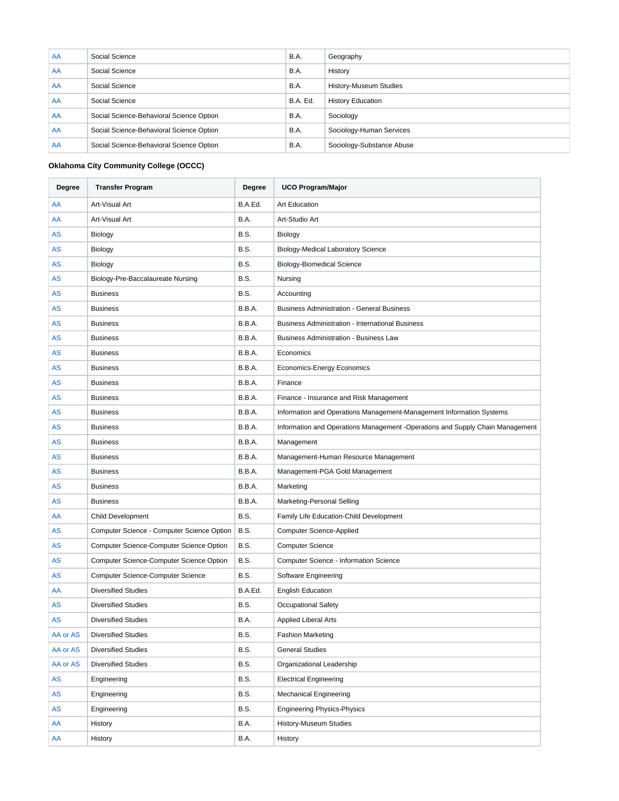| AA | Social Science                           | B.A.     | Geography                     |
|----|------------------------------------------|----------|-------------------------------|
| AA | Social Science                           | B.A.     | History                       |
| AA | Social Science                           | B.A.     | <b>History-Museum Studies</b> |
| AA | Social Science                           | B.A. Ed. | <b>History Education</b>      |
| AA | Social Science-Behavioral Science Option | B.A.     | Sociology                     |
| AA | Social Science-Behavioral Science Option | B.A.     | Sociology-Human Services      |
| AA | Social Science-Behavioral Science Option | B.A.     | Sociology-Substance Abuse     |

# **Oklahoma City Community College (OCCC)**

| Degree   | <b>Transfer Program</b>                    | Degree      | <b>UCO Program/Major</b>                                                      |  |
|----------|--------------------------------------------|-------------|-------------------------------------------------------------------------------|--|
| AA       | Art-Visual Art                             | B.A.Ed.     | <b>Art Education</b>                                                          |  |
| AA       | Art-Visual Art                             | B.A.        | Art-Studio Art                                                                |  |
| AS       | Biology                                    | B.S.        | Biology                                                                       |  |
| AS       | Biology                                    | <b>B.S.</b> | <b>Biology-Medical Laboratory Science</b>                                     |  |
| AS       | Biology                                    | <b>B.S.</b> | <b>Biology-Biomedical Science</b>                                             |  |
| AS       | Biology-Pre-Baccalaureate Nursing          | <b>B.S.</b> | Nursing                                                                       |  |
| AS       | <b>Business</b>                            | <b>B.S.</b> | Accounting                                                                    |  |
| AS       | <b>Business</b>                            | B.B.A.      | <b>Business Administration - General Business</b>                             |  |
| AS       | <b>Business</b>                            | B.B.A.      | <b>Business Administration - International Business</b>                       |  |
| AS       | <b>Business</b>                            | B.B.A.      | Business Administration - Business Law                                        |  |
| AS       | <b>Business</b>                            | B.B.A.      | Economics                                                                     |  |
| AS       | <b>Business</b>                            | B.B.A.      | <b>Economics-Energy Economics</b>                                             |  |
| AS       | <b>Business</b>                            | B.B.A.      | Finance                                                                       |  |
| AS       | <b>Business</b>                            | B.B.A.      | Finance - Insurance and Risk Management                                       |  |
| AS       | <b>Business</b>                            | B.B.A.      | Information and Operations Management-Management Information Systems          |  |
| AS       | <b>Business</b>                            | B.B.A.      | Information and Operations Management -Operations and Supply Chain Management |  |
| AS       | <b>Business</b>                            | B.B.A.      | Management                                                                    |  |
| AS       | <b>Business</b>                            | B.B.A.      | Management-Human Resource Management                                          |  |
| AS       | <b>Business</b>                            | B.B.A.      | Management-PGA Gold Management                                                |  |
| AS       | <b>Business</b>                            | B.B.A.      | Marketing                                                                     |  |
| AS       | <b>Business</b>                            | B.B.A.      | Marketing-Personal Selling                                                    |  |
| AA       | <b>Child Development</b>                   | <b>B.S.</b> | Family Life Education-Child Development                                       |  |
| AS       | Computer Science - Computer Science Option | <b>B.S.</b> | <b>Computer Science-Applied</b>                                               |  |
| AS       | Computer Science-Computer Science Option   | <b>B.S.</b> | <b>Computer Science</b>                                                       |  |
| AS       | Computer Science-Computer Science Option   | <b>B.S.</b> | Computer Science - Information Science                                        |  |
| AS       | <b>Computer Science-Computer Science</b>   | B.S.        | Software Engineering                                                          |  |
| AA       | <b>Diversified Studies</b>                 | B.A.Ed.     | <b>English Education</b>                                                      |  |
| AS       | <b>Diversified Studies</b>                 | B.S.        | <b>Occupational Safety</b>                                                    |  |
| AS       | <b>Diversified Studies</b>                 | B.A.        | Applied Liberal Arts                                                          |  |
| AA or AS | <b>Diversified Studies</b>                 | B.S.        | <b>Fashion Marketing</b>                                                      |  |
| AA or AS | <b>Diversified Studies</b>                 | <b>B.S.</b> | <b>General Studies</b>                                                        |  |
| AA or AS | <b>Diversified Studies</b>                 | <b>B.S.</b> | Organizational Leadership                                                     |  |
| AS       | Engineering                                | <b>B.S.</b> | <b>Electrical Engineering</b>                                                 |  |
| AS       | Engineering                                | B.S.        | <b>Mechanical Engineering</b>                                                 |  |
| AS       | Engineering                                | B.S.        | <b>Engineering Physics-Physics</b>                                            |  |
| AA       | History                                    | B.A.        | History-Museum Studies                                                        |  |
| AA       | History                                    | B.A.        | History                                                                       |  |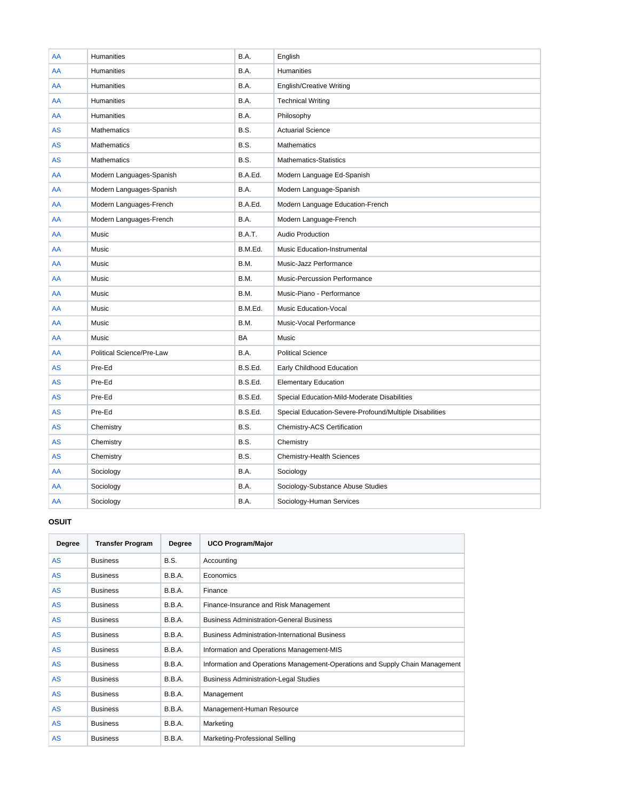| AA        | Humanities                | B.A.          | English                                                 |
|-----------|---------------------------|---------------|---------------------------------------------------------|
| AA        | <b>Humanities</b>         | B.A.          | <b>Humanities</b>                                       |
| AA        | <b>Humanities</b>         | B.A.          | <b>English/Creative Writing</b>                         |
| AA        | Humanities                | B.A.          | <b>Technical Writing</b>                                |
| AA        | <b>Humanities</b>         | B.A.          | Philosophy                                              |
| <b>AS</b> | <b>Mathematics</b>        | <b>B.S.</b>   | <b>Actuarial Science</b>                                |
| <b>AS</b> | <b>Mathematics</b>        | B.S.          | <b>Mathematics</b>                                      |
| <b>AS</b> | <b>Mathematics</b>        | <b>B.S.</b>   | Mathematics-Statistics                                  |
| AA        | Modern Languages-Spanish  | B.A.Ed.       | Modern Language Ed-Spanish                              |
| AA        | Modern Languages-Spanish  | B.A.          | Modern Language-Spanish                                 |
| AA        | Modern Languages-French   | B.A.Ed.       | Modern Language Education-French                        |
| AA        | Modern Languages-French   | B.A.          | Modern Language-French                                  |
| AA        | Music                     | <b>B.A.T.</b> | <b>Audio Production</b>                                 |
| AA        | Music                     | B.M.Ed.       | Music Education-Instrumental                            |
| AA        | Music                     | B.M.          | Music-Jazz Performance                                  |
| AA        | Music                     | B.M.          | Music-Percussion Performance                            |
| AA        | Music                     | B.M.          | Music-Piano - Performance                               |
| AA        | Music                     | B.M.Ed.       | <b>Music Education-Vocal</b>                            |
| AA        | Music                     | B.M.          | Music-Vocal Performance                                 |
| AA        | Music                     | <b>BA</b>     | Music                                                   |
| AA        | Political Science/Pre-Law | B.A.          | <b>Political Science</b>                                |
| <b>AS</b> | Pre-Ed                    | B.S.Ed.       | Early Childhood Education                               |
| <b>AS</b> | Pre-Ed                    | B.S.Ed.       | <b>Elementary Education</b>                             |
| <b>AS</b> | Pre-Ed                    | B.S.Ed.       | Special Education-Mild-Moderate Disabilities            |
| <b>AS</b> | Pre-Ed                    | B.S.Ed.       | Special Education-Severe-Profound/Multiple Disabilities |
| <b>AS</b> | Chemistry                 | B.S.          | Chemistry-ACS Certification                             |
| <b>AS</b> | Chemistry                 | B.S.          | Chemistry                                               |
| <b>AS</b> | Chemistry                 | B.S.          | <b>Chemistry-Health Sciences</b>                        |
| AA        | Sociology                 | B.A.          | Sociology                                               |
| AA        | Sociology                 | B.A.          | Sociology-Substance Abuse Studies                       |
| AA        | Sociology                 | B.A.          | Sociology-Human Services                                |

# **OSUIT**

| Degree    | <b>Transfer Program</b> | Degree        | <b>UCO Program/Major</b>                                                     |  |
|-----------|-------------------------|---------------|------------------------------------------------------------------------------|--|
| <b>AS</b> | <b>Business</b>         | B.S.          | Accounting                                                                   |  |
| <b>AS</b> | <b>Business</b>         | <b>B.B.A.</b> | Economics                                                                    |  |
| <b>AS</b> | <b>Business</b>         | <b>B.B.A.</b> | Finance                                                                      |  |
| <b>AS</b> | <b>Business</b>         | B.B.A.        | Finance-Insurance and Risk Management                                        |  |
| <b>AS</b> | <b>Business</b>         | <b>B.B.A.</b> | <b>Business Administration-General Business</b>                              |  |
| <b>AS</b> | <b>Business</b>         | <b>B.B.A.</b> | <b>Business Administration-International Business</b>                        |  |
| <b>AS</b> | <b>Business</b>         | <b>B.B.A.</b> | Information and Operations Management-MIS                                    |  |
| <b>AS</b> | <b>Business</b>         | <b>B.B.A.</b> | Information and Operations Management-Operations and Supply Chain Management |  |
| <b>AS</b> | <b>Business</b>         | <b>B.B.A.</b> | <b>Business Administration-Legal Studies</b>                                 |  |
| <b>AS</b> | <b>Business</b>         | <b>B.B.A.</b> | Management                                                                   |  |
| <b>AS</b> | <b>Business</b>         | <b>B.B.A.</b> | Management-Human Resource                                                    |  |
| <b>AS</b> | <b>Business</b>         | B.B.A.        | Marketing                                                                    |  |
| <b>AS</b> | <b>Business</b>         | <b>B.B.A.</b> | Marketing-Professional Selling                                               |  |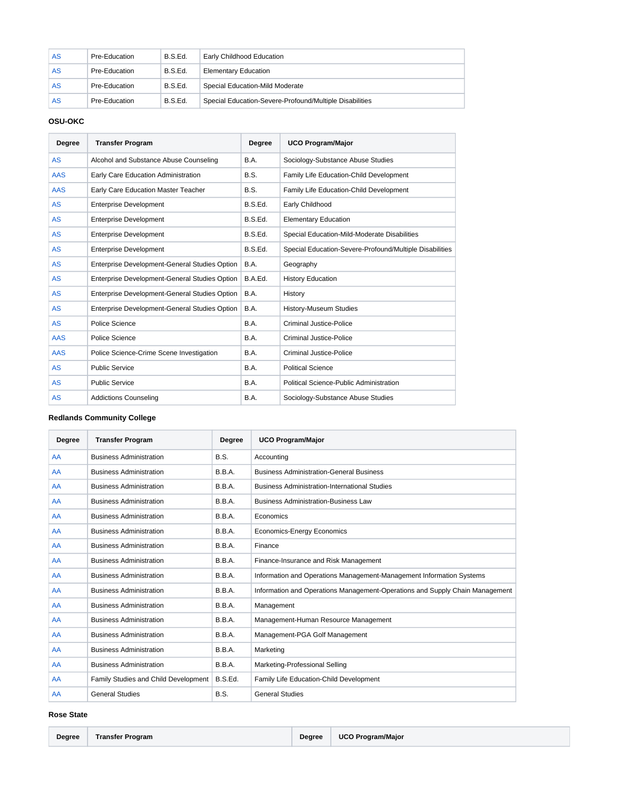| AS | Pre-Education | B.S.Ed. | Early Childhood Education                               |  |
|----|---------------|---------|---------------------------------------------------------|--|
| AS | Pre-Education | B.S.Ed. | <b>Elementary Education</b>                             |  |
| AS | Pre-Education | B.S.Ed. | Special Education-Mild Moderate                         |  |
| AS | Pre-Education | B.S.Ed. | Special Education-Severe-Profound/Multiple Disabilities |  |

# **OSU-OKC**

| Degree     | <b>Transfer Program</b>                       | <b>Degree</b> | <b>UCO Program/Major</b>                                |
|------------|-----------------------------------------------|---------------|---------------------------------------------------------|
| <b>AS</b>  | Alcohol and Substance Abuse Counseling        | B.A.          | Sociology-Substance Abuse Studies                       |
| <b>AAS</b> | Early Care Education Administration           | B.S.          | Family Life Education-Child Development                 |
| <b>AAS</b> | Early Care Education Master Teacher           | B.S.          | Family Life Education-Child Development                 |
| <b>AS</b>  | <b>Enterprise Development</b>                 | B.S.Ed.       | Early Childhood                                         |
| <b>AS</b>  | <b>Enterprise Development</b>                 | B.S.Ed.       | <b>Elementary Education</b>                             |
| <b>AS</b>  | <b>Enterprise Development</b>                 | B.S.Ed.       | Special Education-Mild-Moderate Disabilities            |
| <b>AS</b>  | <b>Enterprise Development</b>                 | B.S.Ed.       | Special Education-Severe-Profound/Multiple Disabilities |
| AS         | Enterprise Development-General Studies Option | B.A.          | Geography                                               |
| AS         | Enterprise Development-General Studies Option | B.A.Ed.       | <b>History Education</b>                                |
| AS         | Enterprise Development-General Studies Option | <b>B.A.</b>   | History                                                 |
| <b>AS</b>  | Enterprise Development-General Studies Option | B.A.          | <b>History-Museum Studies</b>                           |
| <b>AS</b>  | Police Science                                | B.A.          | <b>Criminal Justice-Police</b>                          |
| <b>AAS</b> | Police Science                                | B.A.          | Criminal Justice-Police                                 |
| <b>AAS</b> | Police Science-Crime Scene Investigation      | B.A.          | <b>Criminal Justice-Police</b>                          |
| <b>AS</b>  | <b>Public Service</b>                         | B.A.          | <b>Political Science</b>                                |
| <b>AS</b>  | <b>Public Service</b>                         | B.A.          | Political Science-Public Administration                 |
| AS         | <b>Addictions Counseling</b>                  | B.A.          | Sociology-Substance Abuse Studies                       |

# **Redlands Community College**

| Degree | <b>Transfer Program</b>              | Degree  | <b>UCO Program/Major</b>                                                     |  |
|--------|--------------------------------------|---------|------------------------------------------------------------------------------|--|
| AA     | <b>Business Administration</b>       |         | Accounting                                                                   |  |
| AA     | <b>Business Administration</b>       | B.B.A.  | <b>Business Administration-General Business</b>                              |  |
| AA     | <b>Business Administration</b>       | B.B.A.  | <b>Business Administration-International Studies</b>                         |  |
| AA     | <b>Business Administration</b>       | B.B.A.  | <b>Business Administration-Business Law</b>                                  |  |
| AA     | <b>Business Administration</b>       | B.B.A.  | Economics                                                                    |  |
| AA     | <b>Business Administration</b>       | B.B.A.  | <b>Economics-Energy Economics</b>                                            |  |
| AA     | <b>Business Administration</b>       | B.B.A.  | Finance                                                                      |  |
| AA     | <b>Business Administration</b>       | B.B.A.  | Finance-Insurance and Risk Management                                        |  |
| AA     | <b>Business Administration</b>       | B.B.A.  | Information and Operations Management-Management Information Systems         |  |
| AA     | <b>Business Administration</b>       | B.B.A.  | Information and Operations Management-Operations and Supply Chain Management |  |
| AA     | <b>Business Administration</b>       | B.B.A.  | Management                                                                   |  |
| AA     | <b>Business Administration</b>       | B.B.A.  | Management-Human Resource Management                                         |  |
| AA     | <b>Business Administration</b>       | B.B.A.  | Management-PGA Golf Management                                               |  |
| AA     | <b>Business Administration</b>       | B.B.A.  | Marketing                                                                    |  |
| AA     | <b>Business Administration</b>       | B.B.A.  | Marketing-Professional Selling                                               |  |
| AA     | Family Studies and Child Development | B.S.Ed. | Family Life Education-Child Development                                      |  |
| AA     | <b>General Studies</b>               | B.S.    | <b>General Studies</b>                                                       |  |

#### **Rose State**

| Degree | <b>Transfer Program</b> |  | Degree   UCO Program/Major |
|--------|-------------------------|--|----------------------------|
|--------|-------------------------|--|----------------------------|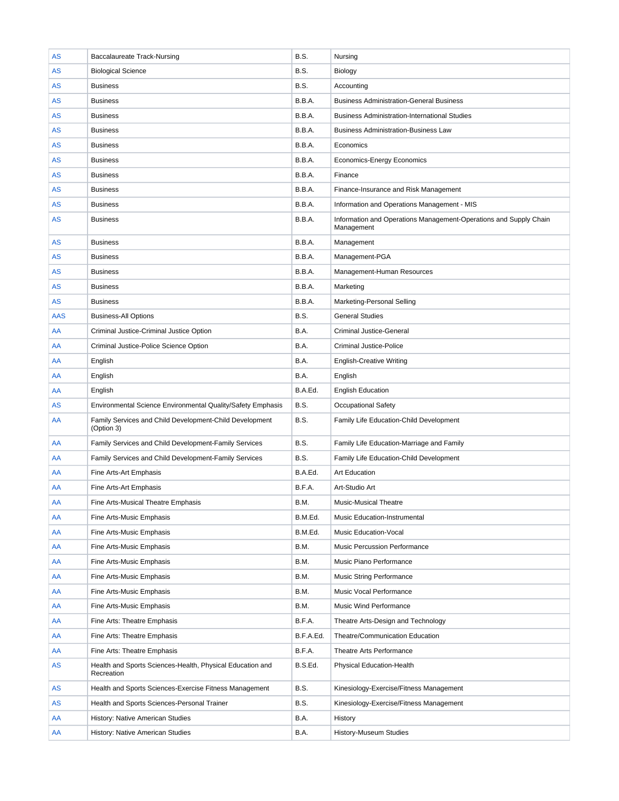| <b>AS</b>  | <b>Baccalaureate Track-Nursing</b>                                      | B.S.        | Nursing                                                                         |
|------------|-------------------------------------------------------------------------|-------------|---------------------------------------------------------------------------------|
| AS         | <b>Biological Science</b>                                               | <b>B.S.</b> | Biology                                                                         |
| AS         | <b>Business</b>                                                         | B.S.        | Accounting                                                                      |
| AS         | <b>Business</b>                                                         | B.B.A.      | <b>Business Administration-General Business</b>                                 |
| <b>AS</b>  | <b>Business</b>                                                         | B.B.A.      | <b>Business Administration-International Studies</b>                            |
| <b>AS</b>  | <b>Business</b>                                                         | B.B.A.      | <b>Business Administration-Business Law</b>                                     |
| <b>AS</b>  | <b>Business</b>                                                         | B.B.A.      | Economics                                                                       |
| <b>AS</b>  | <b>Business</b>                                                         | B.B.A.      | <b>Economics-Energy Economics</b>                                               |
| AS         | <b>Business</b>                                                         | B.B.A.      | Finance                                                                         |
| <b>AS</b>  | <b>Business</b>                                                         | B.B.A.      | Finance-Insurance and Risk Management                                           |
| AS         | <b>Business</b>                                                         | B.B.A.      | Information and Operations Management - MIS                                     |
| AS         | <b>Business</b>                                                         | B.B.A.      | Information and Operations Management-Operations and Supply Chain<br>Management |
| AS         | <b>Business</b>                                                         | B.B.A.      | Management                                                                      |
| AS         | <b>Business</b>                                                         | B.B.A.      | Management-PGA                                                                  |
| AS         | <b>Business</b>                                                         | B.B.A.      | Management-Human Resources                                                      |
| AS         | <b>Business</b>                                                         | B.B.A.      | Marketing                                                                       |
| AS         | <b>Business</b>                                                         | B.B.A.      | Marketing-Personal Selling                                                      |
| <b>AAS</b> | <b>Business-All Options</b>                                             | B.S.        | <b>General Studies</b>                                                          |
| AA         | Criminal Justice-Criminal Justice Option                                | B.A.        | <b>Criminal Justice-General</b>                                                 |
| AA         | Criminal Justice-Police Science Option                                  | B.A.        | <b>Criminal Justice-Police</b>                                                  |
| AA         | English                                                                 | B.A.        | <b>English-Creative Writing</b>                                                 |
| AA         | English                                                                 | B.A.        | English                                                                         |
| AA         | English                                                                 | B.A.Ed.     | <b>English Education</b>                                                        |
| AS         | Environmental Science Environmental Quality/Safety Emphasis             | B.S.        | <b>Occupational Safety</b>                                                      |
| AA         | Family Services and Child Development-Child Development<br>(Option 3)   | B.S.        | Family Life Education-Child Development                                         |
| AA         | Family Services and Child Development-Family Services                   | B.S.        | Family Life Education-Marriage and Family                                       |
| AA         | Family Services and Child Development-Family Services                   | <b>B.S.</b> | Family Life Education-Child Development                                         |
| AA         | Fine Arts-Art Emphasis                                                  | B.A.Ed.     | <b>Art Education</b>                                                            |
| AA         | Fine Arts-Art Emphasis                                                  | B.F.A.      | Art-Studio Art                                                                  |
| AA         | Fine Arts-Musical Theatre Emphasis                                      | B.M.        | Music-Musical Theatre                                                           |
| AA         | Fine Arts-Music Emphasis                                                | B.M.Ed.     | Music Education-Instrumental                                                    |
| AA         | Fine Arts-Music Emphasis                                                | B.M.Ed.     | <b>Music Education-Vocal</b>                                                    |
| AA         | Fine Arts-Music Emphasis                                                | B.M.        | Music Percussion Performance                                                    |
| AA         | Fine Arts-Music Emphasis                                                | B.M.        | Music Piano Performance                                                         |
| AA         | Fine Arts-Music Emphasis                                                | B.M.        | <b>Music String Performance</b>                                                 |
| AA         | Fine Arts-Music Emphasis                                                | B.M.        | Music Vocal Performance                                                         |
| AA         | Fine Arts-Music Emphasis                                                | B.M.        | Music Wind Performance                                                          |
| AA         | Fine Arts: Theatre Emphasis                                             | B.F.A.      | Theatre Arts-Design and Technology                                              |
| AA         | Fine Arts: Theatre Emphasis                                             | B.F.A.Ed.   | Theatre/Communication Education                                                 |
| AA         | Fine Arts: Theatre Emphasis                                             | B.F.A.      | Theatre Arts Performance                                                        |
| <b>AS</b>  | Health and Sports Sciences-Health, Physical Education and<br>Recreation | B.S.Ed.     | Physical Education-Health                                                       |
| AS         | Health and Sports Sciences-Exercise Fitness Management                  | B.S.        | Kinesiology-Exercise/Fitness Management                                         |
| AS         | Health and Sports Sciences-Personal Trainer                             | B.S.        | Kinesiology-Exercise/Fitness Management                                         |
| AA         | History: Native American Studies                                        | B.A.        | History                                                                         |
| AA         | History: Native American Studies                                        | B.A.        | <b>History-Museum Studies</b>                                                   |